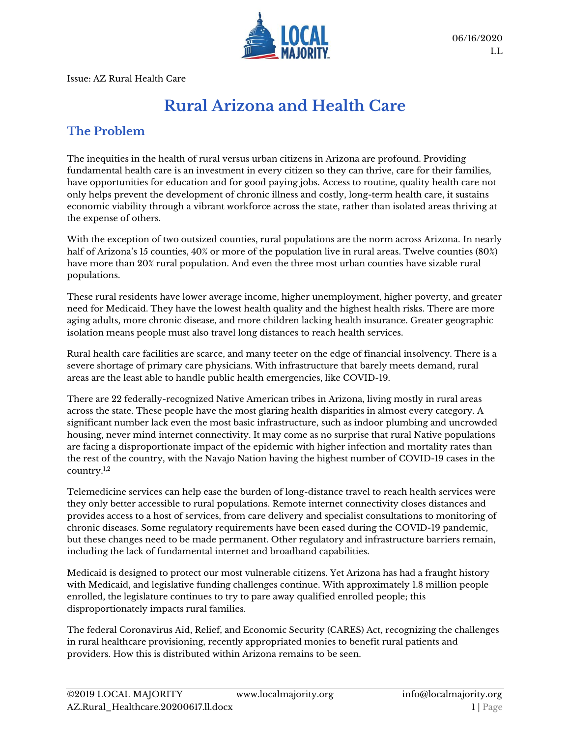

Issue: AZ Rural Health Care

# **Rural Arizona and Health Care**

#### **The Problem**

The inequities in the health of rural versus urban citizens in Arizona are profound. Providing fundamental health care is an investment in every citizen so they can thrive, care for their families, have opportunities for education and for good paying jobs. Access to routine, quality health care not only helps prevent the development of chronic illness and costly, long-term health care, it sustains economic viability through a vibrant workforce across the state, rather than isolated areas thriving at the expense of others.

With the exception of two outsized counties, rural populations are the norm across Arizona. In nearly half of Arizona's 15 counties,  $40\%$  or more of the population live in rural areas. Twelve counties (80%) have more than 20% rural population. And even the three most urban counties have sizable rural populations.

These rural residents have lower average income, higher unemployment, higher poverty, and greater need for Medicaid. They have the lowest health quality and the highest health risks. There are more aging adults, more chronic disease, and more children lacking health insurance. Greater geographic isolation means people must also travel long distances to reach health services.

Rural health care facilities are scarce, and many teeter on the edge of financial insolvency. There is a severe shortage of primary care physicians. With infrastructure that barely meets demand, rural areas are the least able to handle public health emergencies, like COVID-19.

There are 22 federally-recognized Native American tribes in Arizona, living mostly in rural areas across the state. These people have the most glaring health disparities in almost every category. A significant number lack even the most basic infrastructure, such as indoor plumbing and uncrowded housing, never mind internet connectivity. It may come as no surprise that rural Native populations are facing a disproportionate impact of the epidemic with higher infection and mortality rates than the rest of the country, with the Navajo Nation having the highest number of COVID-19 cases in the country. 1,2

Telemedicine services can help ease the burden of long-distance travel to reach health services were they only better accessible to rural populations. Remote internet connectivity closes distances and provides access to a host of services, from care delivery and specialist consultations to monitoring of chronic diseases. Some regulatory requirements have been eased during the COVID-19 pandemic, but these changes need to be made permanent. Other regulatory and infrastructure barriers remain, including the lack of fundamental internet and broadband capabilities.

Medicaid is designed to protect our most vulnerable citizens. Yet Arizona has had a fraught history with Medicaid, and legislative funding challenges continue. With approximately 1.8 million people enrolled, the legislature continues to try to pare away qualified enrolled people; this disproportionately impacts rural families.

The federal Coronavirus Aid, Relief, and Economic Security (CARES) Act, recognizing the challenges in rural healthcare provisioning, recently appropriated monies to benefit rural patients and providers. How this is distributed within Arizona remains to be seen.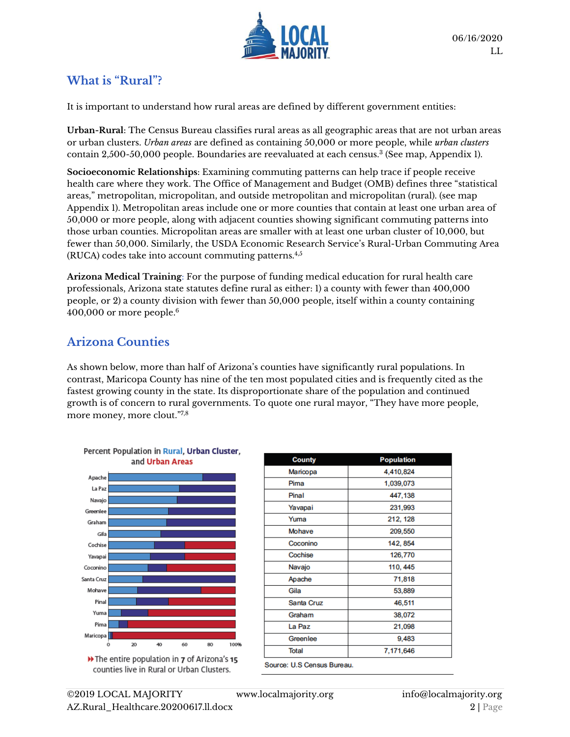

#### **What is "Rural"?**

It is important to understand how rural areas are defined by different government entities:

**Urban-Rural**: The Census Bureau classifies rural areas as all geographic areas that are not urban areas or urban clusters. *Urban areas* are defined as containing 50,000 or more people, while *urban clusters* contain 2,500-50,000 people. Boundaries are reevaluated at each census. 3 (See map, Appendix 1).

**Socioeconomic Relationships**: Examining commuting patterns can help trace if people receive health care where they work. The Office of Management and Budget (OMB) defines three "statistical areas," metropolitan, micropolitan, and outside metropolitan and micropolitan (rural). (see map Appendix 1). Metropolitan areas include one or more counties that contain at least one urban area of 50,000 or more people, along with adjacent counties showing significant commuting patterns into those urban counties. Micropolitan areas are smaller with at least one urban cluster of 10,000, but fewer than 50,000. Similarly, the USDA Economic Research Service's Rural-Urban Commuting Area (RUCA) codes take into account commuting patterns.4,5

**Arizona Medical Training**: For the purpose of funding medical education for rural health care professionals, Arizona state statutes define rural as either: 1) a county with fewer than 400,000 people, or 2) a county division with fewer than 50,000 people, itself within a county containing 400,000 or more people. 6

#### **Arizona Counties**

As shown below, more than half of Arizona's counties have significantly rural populations. In contrast, Maricopa County has nine of the ten most populated cities and is frequently cited as the fastest growing county in the state. Its disproportionate share of the population and continued growth is of concern to rural governments. To quote one rural mayor, "They have more people, more money, more clout." 7,8





| <b>County</b>              | <b>Population</b> |
|----------------------------|-------------------|
| Maricopa                   | 4,410,824         |
| Pima                       | 1,039,073         |
| Pinal                      | 447,138           |
| Yavapai                    | 231,993           |
| Yuma                       | 212, 128          |
| Mohave                     | 209,550           |
| Coconino                   | 142, 854          |
| Cochise                    | 126,770           |
| Navajo                     | 110, 445          |
| Apache                     | 71,818            |
| Gila                       | 53,889            |
| Santa Cruz                 | 46,511            |
| Graham                     | 38,072            |
| La Paz                     | 21,098            |
| Greenlee                   | 9,483             |
| Total                      | 7,171,646         |
| Course: H.C. Concus Russou |                   |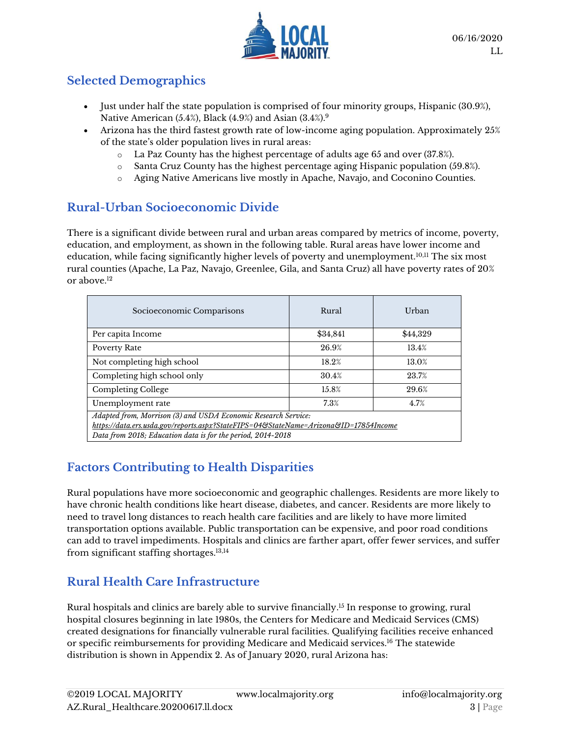

## **Selected Demographics**

- Just under half the state population is comprised of four minority groups, Hispanic (30.9%), Native American (5.4%), Black (4.9%) and Asian (3.4%).<sup>9</sup>
- Arizona has the third fastest growth rate of low-income aging population. Approximately 25% of the state's older population lives in rural areas:
	- o La Paz County has the highest percentage of adults age 65 and over (37.8%).
	- $\circ$  Santa Cruz County has the highest percentage aging Hispanic population (59.8%).
	- o Aging Native Americans live mostly in Apache, Navajo, and Coconino Counties.

## **Rural-Urban Socioeconomic Divide**

There is a significant divide between rural and urban areas compared by metrics of income, poverty, education, and employment, as shown in the following table. Rural areas have lower income and education, while facing significantly higher levels of poverty and unemployment.10,11 The six most rural counties (Apache, La Paz, Navajo, Greenlee, Gila, and Santa Cruz) all have poverty rates of 20% or above.<sup>12</sup>

| Socioeconomic Comparisons                                                                                                                                                                                             | Rural    | Urban    |  |
|-----------------------------------------------------------------------------------------------------------------------------------------------------------------------------------------------------------------------|----------|----------|--|
| Per capita Income                                                                                                                                                                                                     | \$34,841 | \$44,329 |  |
| Poverty Rate                                                                                                                                                                                                          | 26.9%    | 13.4%    |  |
| Not completing high school                                                                                                                                                                                            | 18.2%    | 13.0%    |  |
| Completing high school only                                                                                                                                                                                           | 30.4%    | 23.7%    |  |
| Completing College                                                                                                                                                                                                    | 15.8%    | 29.6%    |  |
| Unemployment rate                                                                                                                                                                                                     | 7.3%     | 4.7%     |  |
| Adapted from, Morrison (3) and USDA Economic Research Service:<br>https://data.ers.usda.gov/reports.aspx?StateFIPS=04&StateName=Arizona&ID=17854Income<br>Data from 2018; Education data is for the period, 2014-2018 |          |          |  |

## **Factors Contributing to Health Disparities**

Rural populations have more socioeconomic and geographic challenges. Residents are more likely to have chronic health conditions like heart disease, diabetes, and cancer. Residents are more likely to need to travel long distances to reach health care facilities and are likely to have more limited transportation options available. Public transportation can be expensive, and poor road conditions can add to travel impediments. Hospitals and clinics are farther apart, offer fewer services, and suffer from significant staffing shortages.13,14

## **Rural Health Care Infrastructure**

Rural hospitals and clinics are barely able to survive financially. <sup>15</sup> In response to growing, rural hospital closures beginning in late 1980s, the Centers for Medicare and Medicaid Services (CMS) created designations for financially vulnerable rural facilities. Qualifying facilities receive enhanced or specific reimbursements for providing Medicare and Medicaid services.<sup>16</sup> The statewide distribution is shown in Appendix 2. As of January 2020, rural Arizona has: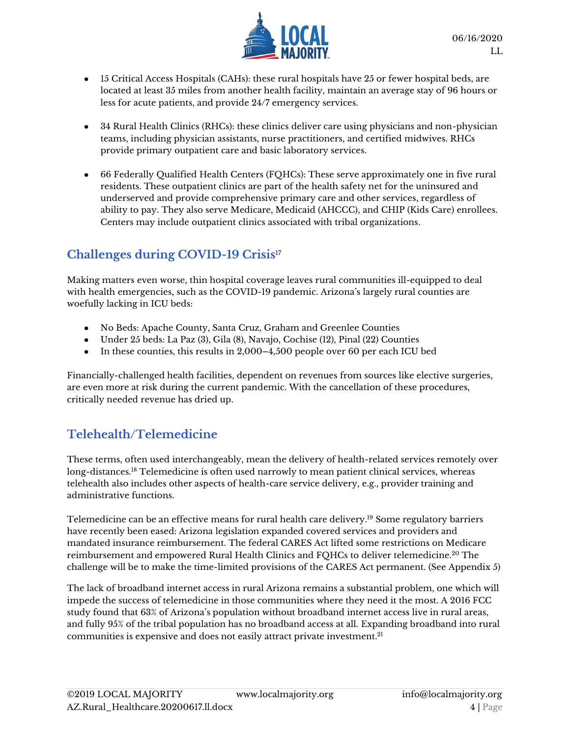

- 15 Critical Access Hospitals (CAHs): these rural hospitals have 25 or fewer hospital beds, are located at least 35 miles from another health facility, maintain an average stay of 96 hours or less for acute patients, and provide 24/7 emergency services.
- 34 Rural Health Clinics (RHCs): these clinics deliver care using physicians and non-physician teams, including physician assistants, nurse practitioners, and certified midwives. RHCs provide primary outpatient care and basic laboratory services.
- 66 Federally Qualified Health Centers (FQHCs): These serve approximately one in five rural residents. These outpatient clinics are part of the health safety net for the uninsured and underserved and provide comprehensive primary care and other services, regardless of ability to pay. They also serve Medicare, Medicaid (AHCCC), and CHIP (Kids Care) enrollees. Centers may include outpatient clinics associated with tribal organizations.

## **Challenges during COVID-19 Crisis**<sup>17</sup>

Making matters even worse, thin hospital coverage leaves rural communities ill-equipped to deal with health emergencies, such as the COVID-19 pandemic. Arizona's largely rural counties are woefully lacking in ICU beds:

- No Beds: Apache County, Santa Cruz, Graham and Greenlee Counties
- Under  $25$  beds: La Paz  $(3)$ , Gila  $(8)$ , Navajo, Cochise  $(12)$ , Pinal  $(22)$  Counties
- In these counties, this results in  $2,000-4,500$  people over 60 per each ICU bed

Financially-challenged health facilities, dependent on revenues from sources like elective surgeries, are even more at risk during the current pandemic. With the cancellation of these procedures, critically needed revenue has dried up.

## **Telehealth/Telemedicine**

These terms, often used interchangeably, mean the delivery of health-related services remotely over long-distances.<sup>18</sup> Telemedicine is often used narrowly to mean patient clinical services, whereas telehealth also includes other aspects of health-care service delivery, e.g., provider training and administrative functions.

Telemedicine can be an effective means for rural health care delivery. <sup>19</sup> Some regulatory barriers have recently been eased: Arizona legislation expanded covered services and providers and mandated insurance reimbursement. The federal CARES Act lifted some restrictions on Medicare reimbursement and empowered Rural Health Clinics and FQHCs to deliver telemedicine.<sup>20</sup> The challenge will be to make the time-limited provisions of the CARES Act permanent. (See Appendix 5)

The lack of broadband internet access in rural Arizona remains a substantial problem, one which will impede the success of telemedicine in those communities where they need it the most. A 2016 FCC study found that 63% of Arizona's population without broadband internet access live in rural areas, and fully 95% of the tribal population has no broadband access at all. Expanding broadband into rural communities is expensive and does not easily attract private investment. 21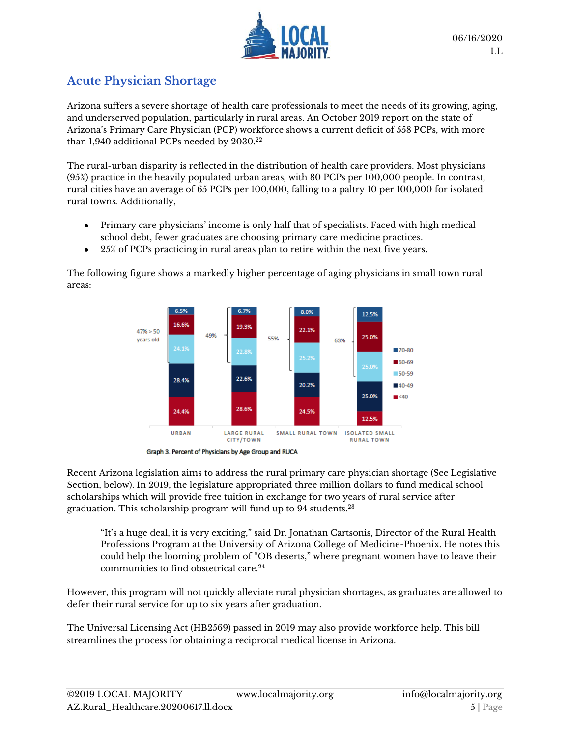

#### **Acute Physician Shortage**

Arizona suffers a severe shortage of health care professionals to meet the needs of its growing, aging, and underserved population, particularly in rural areas. An October 2019 report on the state of Arizona's Primary Care Physician (PCP) workforce shows a current deficit of 558 PCPs, with more than 1,940 additional PCPs needed by 2030.<sup>22</sup>

The rural-urban disparity is reflected in the distribution of health care providers. Most physicians (95%) practice in the heavily populated urban areas, with 80 PCPs per 100,000 people. In contrast, rural cities have an average of 65 PCPs per 100,000, falling to a paltry 10 per 100,000 for isolated rural towns*.* Additionally,

- Primary care physicians' income is only half that of specialists. Faced with high medical school debt, fewer graduates are choosing primary care medicine practices.
- 25% of PCPs practicing in rural areas plan to retire within the next five years.

The following figure shows a markedly higher percentage of aging physicians in small town rural areas:



Graph 3. Percent of Physicians by Age Group and RUCA

Recent Arizona legislation aims to address the rural primary care physician shortage (See Legislative Section, below). In 2019, the legislature appropriated three million dollars to fund medical school scholarships which will provide free tuition in exchange for two years of rural service after graduation. This scholarship program will fund up to 94 students. 23

"It's a huge deal, it is very exciting," said Dr. Jonathan Cartsonis, Director of the Rural Health Professions Program at the University of Arizona College of Medicine-Phoenix. He notes this could help the looming problem of "OB deserts," where pregnant women have to leave their communities to find obstetrical care.<sup>24</sup>

However, this program will not quickly alleviate rural physician shortages, as graduates are allowed to defer their rural service for up to six years after graduation.

The Universal Licensing Act (HB2569) passed in 2019 may also provide workforce help. This bill streamlines the process for obtaining a reciprocal medical license in Arizona.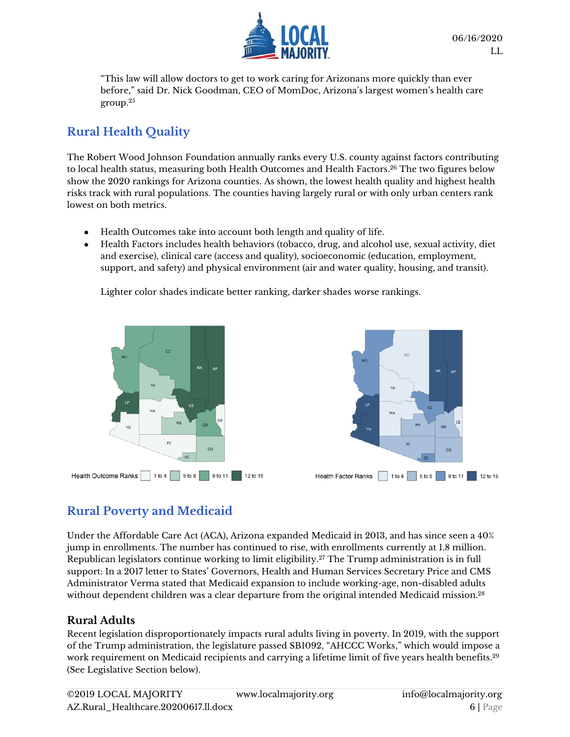

"This law will allow doctors to get to work caring for Arizonans more quickly than ever before," said Dr. Nick Goodman, CEO of MomDoc, Arizona's largest women's health care group. 25

## **Rural Health Quality**

The Robert Wood Johnson Foundation annually ranks every U.S. county against factors contributing to local health status, measuring both Health Outcomes and Health Factors.<sup>26</sup> The two figures below show the 2020 rankings for Arizona counties. As shown, the lowest health quality and highest health risks track with rural populations. The counties having largely rural or with only urban centers rank lowest on both metrics.

- Health Outcomes take into account both length and quality of life.
- Health Factors includes health behaviors (tobacco, drug, and alcohol use, sexual activity, diet and exercise), clinical care (access and quality), socioeconomic (education, employment, support, and safety) and physical environment (air and water quality, housing, and transit).

Lighter color shades indicate better ranking, darker shades worse rankings.



## **Rural Poverty and Medicaid**

Under the Affordable Care Act (ACA), Arizona expanded Medicaid in 2013, and has since seen a 40% jump in enrollments. The number has continued to rise, with enrollments currently at 1.8 million. Republican legislators continue working to limit eligibility. <sup>27</sup> The Trump administration is in full support: In a 2017 letter to States' Governors, Health and Human Services Secretary Price and CMS Administrator Verma stated that Medicaid expansion to include working-age, non-disabled adults without dependent children was a clear departure from the original intended Medicaid mission. $^{28}$ 

#### **Rural Adults**

Recent legislation disproportionately impacts rural adults living in poverty. In 2019, with the support of the Trump administration, the legislature passed SB1092, "AHCCC Works," which would impose a work requirement on Medicaid recipients and carrying a lifetime limit of five years health benefits. 29 (See Legislative Section below).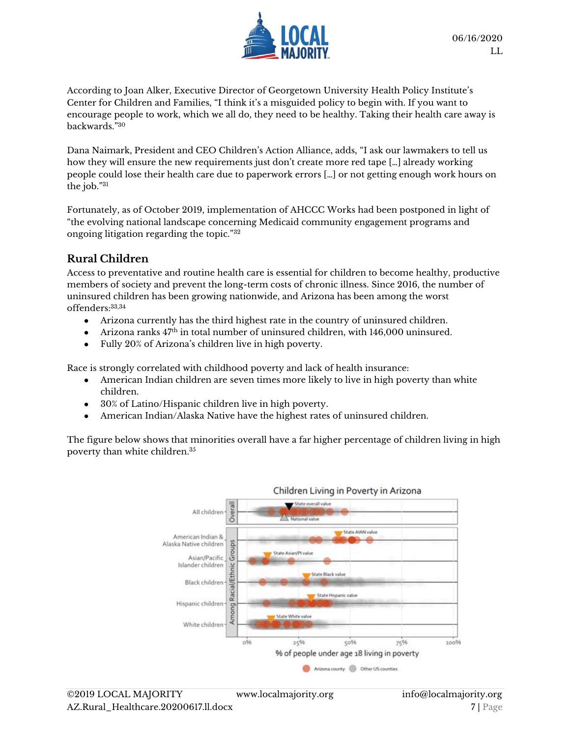

According to Joan Alker, Executive Director of Georgetown University Health Policy Institute's Center for Children and Families, "I think it's a misguided policy to begin with. If you want to encourage people to work, which we all do, they need to be healthy. Taking their health care away is backwards." 30

Dana Naimark, President and CEO Children's Action Alliance, adds, "I ask our lawmakers to tell us how they will ensure the new requirements just don't create more red tape […] already working people could lose their health care due to paperwork errors […] or not getting enough work hours on the job." 31

Fortunately, as of October 2019, implementation of AHCCC Works had been postponed in light of "the evolving national landscape concerning Medicaid community engagement programs and ongoing litigation regarding the topic."<sup>32</sup>

#### **Rural Children**

Access to preventative and routine health care is essential for children to become healthy, productive members of society and prevent the long-term costs of chronic illness. Since 2016, the number of uninsured children has been growing nationwide, and Arizona has been among the worst offenders:33,34

- Arizona currently has the third highest rate in the country of uninsured children.
- Arizona ranks 47th in total number of uninsured children, with 146,000 uninsured.
- Fully 20% of Arizona's children live in high poverty.

Race is strongly correlated with childhood poverty and lack of health insurance:

- American Indian children are seven times more likely to live in high poverty than white children.
- 30% of Latino/Hispanic children live in high poverty.
- American Indian/Alaska Native have the highest rates of uninsured children.

The figure below shows that minorities overall have a far higher percentage of children living in high poverty than white children.35

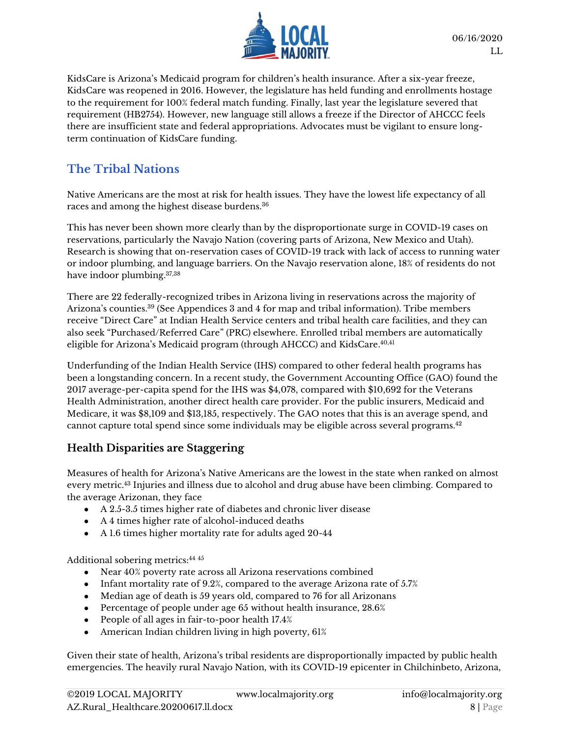

KidsCare is Arizona's Medicaid program for children's health insurance. After a six-year freeze, KidsCare was reopened in 2016. However, the legislature has held funding and enrollments hostage to the requirement for 100% federal match funding. Finally, last year the legislature severed that requirement (HB2754). However, new language still allows a freeze if the Director of AHCCC feels there are insufficient state and federal appropriations. Advocates must be vigilant to ensure longterm continuation of KidsCare funding.

### **The Tribal Nations**

Native Americans are the most at risk for health issues. They have the lowest life expectancy of all races and among the highest disease burdens.<sup>36</sup>

This has never been shown more clearly than by the disproportionate surge in COVID-19 cases on reservations, particularly the Navajo Nation (covering parts of Arizona, New Mexico and Utah). Research is showing that on-reservation cases of COVID-19 track with lack of access to running water or indoor plumbing, and language barriers. On the Navajo reservation alone, 18% of residents do not have indoor plumbing. 37,38

There are 22 federally-recognized tribes in Arizona living in reservations across the majority of Arizona's counties. <sup>39</sup> (See Appendices 3 and 4 for map and tribal information). Tribe members receive "Direct Care" at Indian Health Service centers and tribal health care facilities, and they can also seek "Purchased/Referred Care" (PRC) elsewhere. Enrolled tribal members are automatically eligible for Arizona's Medicaid program (through AHCCC) and KidsCare. 40,41

Underfunding of the Indian Health Service (IHS) compared to other federal health programs has been a longstanding concern. In a recent study, the Government Accounting Office (GAO) found the 2017 average-per-capita spend for the IHS was \$4,078, compared with \$10,692 for the Veterans Health Administration, another direct health care provider. For the public insurers, Medicaid and Medicare, it was \$8,109 and \$13,185, respectively. The GAO notes that this is an average spend, and cannot capture total spend since some individuals may be eligible across several programs.<sup>42</sup>

#### **Health Disparities are Staggering**

Measures of health for Arizona's Native Americans are the lowest in the state when ranked on almost every metric. <sup>43</sup> Injuries and illness due to alcohol and drug abuse have been climbing. Compared to the average Arizonan, they face

- A 2.5-3.5 times higher rate of diabetes and chronic liver disease
- A 4 times higher rate of alcohol-induced deaths
- A 1.6 times higher mortality rate for adults aged 20-44

Additional sobering metrics: 44 45

- Near 40% poverty rate across all Arizona reservations combined
- Infant mortality rate of 9.2%, compared to the average Arizona rate of 5.7%
- Median age of death is 59 years old, compared to 76 for all Arizonans
- Percentage of people under age 65 without health insurance, 28.6%
- People of all ages in fair-to-poor health 17.4%
- American Indian children living in high poverty, 61%

Given their state of health, Arizona's tribal residents are disproportionally impacted by public health emergencies. The heavily rural Navajo Nation, with its COVID-19 epicenter in Chilchinbeto, Arizona,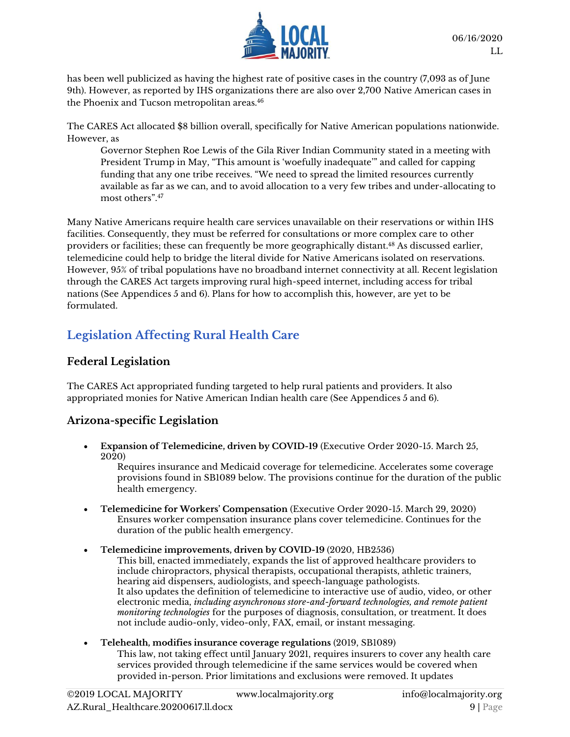

has been well publicized as having the highest rate of positive cases in the country (7,093 as of June 9th). However, as reported by IHS organizations there are also over 2,700 Native American cases in the Phoenix and Tucson metropolitan areas. 46

The CARES Act allocated \$8 billion overall, specifically for Native American populations nationwide. However, as

Governor Stephen Roe Lewis of the Gila River Indian Community stated in a meeting with President Trump in May, "This amount is 'woefully inadequate'" and called for capping funding that any one tribe receives. "We need to spread the limited resources currently available as far as we can, and to avoid allocation to a very few tribes and under-allocating to most others".<sup>47</sup>

Many Native Americans require health care services unavailable on their reservations or within IHS facilities. Consequently, they must be referred for consultations or more complex care to other providers or facilities; these can frequently be more geographically distant. <sup>48</sup> As discussed earlier, telemedicine could help to bridge the literal divide for Native Americans isolated on reservations. However, 95% of tribal populations have no broadband internet connectivity at all. Recent legislation through the CARES Act targets improving rural high-speed internet, including access for tribal nations (See Appendices 5 and 6). Plans for how to accomplish this, however, are yet to be formulated.

## **Legislation Affecting Rural Health Care**

#### **Federal Legislation**

The CARES Act appropriated funding targeted to help rural patients and providers. It also appropriated monies for Native American Indian health care (See Appendices 5 and 6).

#### **Arizona-specific Legislation**

• **Expansion of Telemedicine, driven by COVID-19** (Executive Order 2020-15. March 25, 2020)

Requires insurance and Medicaid coverage for telemedicine. Accelerates some coverage provisions found in SB1089 below. The provisions continue for the duration of the public health emergency.

- **Telemedicine for Workers' Compensation** (Executive Order 2020-15. March 29, 2020) Ensures worker compensation insurance plans cover telemedicine. Continues for the duration of the public health emergency.
- **Telemedicine improvements, driven by COVID-19** (2020, HB2536) This bill, enacted immediately, expands the list of approved healthcare providers to include chiropractors, physical therapists, occupational therapists, athletic trainers, hearing aid dispensers, audiologists, and speech-language pathologists. It also updates the definition of telemedicine to interactive use of audio, video, or other electronic media, *including asynchronous store-and-forward technologies, and remote patient monitoring technologies* for the purposes of diagnosis, consultation, or treatment. It does not include audio-only, video-only, FAX, email, or instant messaging.

#### • **Telehealth, modifies insurance coverage regulations** (2019, SB1089) This law, not taking effect until January 2021, requires insurers to cover any health care services provided through telemedicine if the same services would be covered when provided in-person. Prior limitations and exclusions were removed. It updates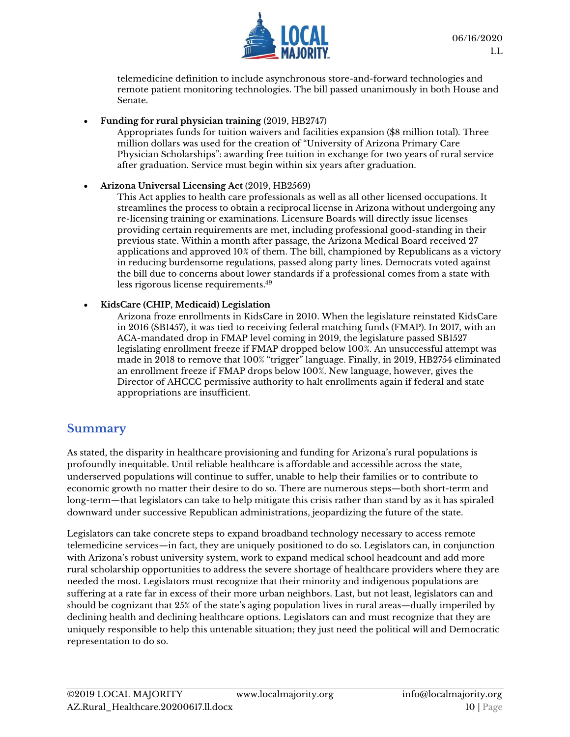

telemedicine definition to include asynchronous store-and-forward technologies and remote patient monitoring technologies. The bill passed unanimously in both House and Senate.

• **Funding for rural physician training** (2019, HB2747)

Appropriates funds for tuition waivers and facilities expansion (\$8 million total). Three million dollars was used for the creation of "University of Arizona Primary Care Physician Scholarships": awarding free tuition in exchange for two years of rural service after graduation. Service must begin within six years after graduation.

• **Arizona Universal Licensing Act** (2019, HB2569)

This Act applies to health care professionals as well as all other licensed occupations. It streamlines the process to obtain a reciprocal license in Arizona without undergoing any re-licensing training or examinations. Licensure Boards will directly issue licenses providing certain requirements are met, including professional good-standing in their previous state. Within a month after passage, the Arizona Medical Board received 27 applications and approved 10% of them. The bill, championed by Republicans as a victory in reducing burdensome regulations, passed along party lines. Democrats voted against the bill due to concerns about lower standards if a professional comes from a state with less rigorous license requirements. 49

#### • **KidsCare (CHIP, Medicaid) Legislation**

Arizona froze enrollments in KidsCare in 2010. When the legislature reinstated KidsCare in 2016 (SB1457), it was tied to receiving federal matching funds (FMAP). In 2017, with an ACA-mandated drop in FMAP level coming in 2019, the legislature passed SB1527 legislating enrollment freeze if FMAP dropped below 100%. An unsuccessful attempt was made in 2018 to remove that 100% "trigger" language. Finally, in 2019, HB2754 eliminated an enrollment freeze if FMAP drops below 100%. New language, however, gives the Director of AHCCC permissive authority to halt enrollments again if federal and state appropriations are insufficient.

#### **Summary**

As stated, the disparity in healthcare provisioning and funding for Arizona's rural populations is profoundly inequitable. Until reliable healthcare is affordable and accessible across the state, underserved populations will continue to suffer, unable to help their families or to contribute to economic growth no matter their desire to do so. There are numerous steps—both short-term and long-term—that legislators can take to help mitigate this crisis rather than stand by as it has spiraled downward under successive Republican administrations, jeopardizing the future of the state.

Legislators can take concrete steps to expand broadband technology necessary to access remote telemedicine services—in fact, they are uniquely positioned to do so. Legislators can, in conjunction with Arizona's robust university system, work to expand medical school headcount and add more rural scholarship opportunities to address the severe shortage of healthcare providers where they are needed the most. Legislators must recognize that their minority and indigenous populations are suffering at a rate far in excess of their more urban neighbors. Last, but not least, legislators can and should be cognizant that 25% of the state's aging population lives in rural areas—dually imperiled by declining health and declining healthcare options. Legislators can and must recognize that they are uniquely responsible to help this untenable situation; they just need the political will and Democratic representation to do so.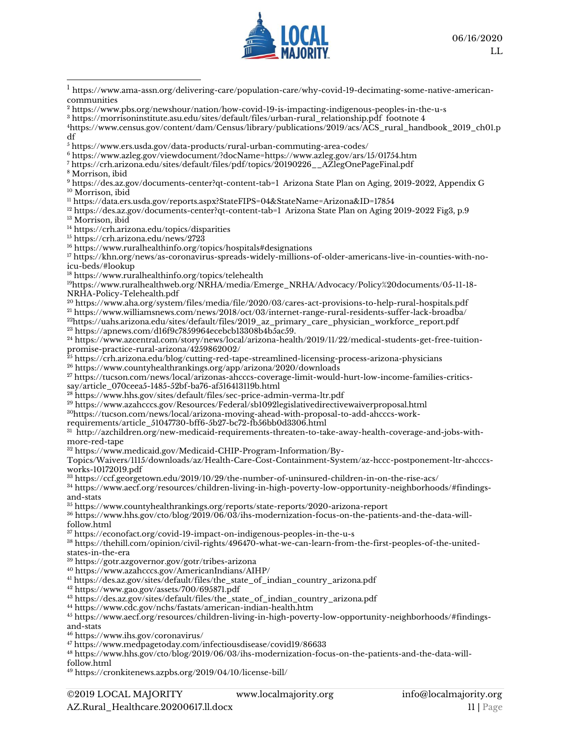

<https://www.pbs.org/newshour/nation/how-covid-19-is-impacting-indigenous-peoples-in-the-u-s>

[https://morrisoninstitute.asu.edu/sites/default/files/urban-rural\\_relationship.pdf](https://morrisoninstitute.asu.edu/sites/default/files/urban-rural_relationship.pdf) footnote 4

[https://www.census.gov/content/dam/Census/library/publications/2019/acs/ACS\\_rural\\_handbook\\_2019\\_ch01.p](https://www.census.gov/content/dam/Census/library/publications/2019/acs/ACS_rural_handbook_2019_ch01.pdf) [df](https://www.census.gov/content/dam/Census/library/publications/2019/acs/ACS_rural_handbook_2019_ch01.pdf)

<https://www.azleg.gov/viewdocument/?docName=https://www.azleg.gov/ars/15/01754.htm>

[https://crh.arizona.edu/sites/default/files/pdf/topics/20190226\\_\\_AZlegOnePageFinal.pdf](https://crh.arizona.edu/sites/default/files/pdf/topics/20190226__AZlegOnePageFinal.pdf)

Morrison, ibid

 <https://des.az.gov/documents-center?qt-content-tab=1>Arizona State Plan on Aging, 2019-2022, Appendix G <sup>10</sup> Morrison, ibid

<https://data.ers.usda.gov/reports.aspx?StateFIPS=04&StateName=Arizona&ID=17854>

<sup>12</sup> <https://des.az.gov/documents-center?qt-content-tab=1>Arizona State Plan on Aging 2019-2022 Fig3, p.9

<sup>13</sup> Morrison, ibid

#### <https://crh.arizona.edu/topics/disparities>

<https://crh.arizona.edu/news/2723>

<https://www.ruralhealthinfo.org/topics/hospitals#designations>

 [https://khn.org/news/as-coronavirus-spreads-widely-millions-of-older-americans-live-in-counties-with-no](https://khn.org/news/as-coronavirus-spreads-widely-millions-of-older-americans-live-in-counties-with-no-icu-beds/#lookup)[icu-beds/#lookup](https://khn.org/news/as-coronavirus-spreads-widely-millions-of-older-americans-live-in-counties-with-no-icu-beds/#lookup) 

<https://www.ruralhealthinfo.org/topics/telehealth>

[https://www.ruralhealthweb.org/NRHA/media/Emerge\\_NRHA/Advocacy/Policy%20documents/05-11-18-](https://www.ruralhealthweb.org/NRHA/media/Emerge_NRHA/Advocacy/Policy%20documents/05-11-18-NRHA-Policy-Telehealth.pdf) [NRHA-Policy-Telehealth.pdf](https://www.ruralhealthweb.org/NRHA/media/Emerge_NRHA/Advocacy/Policy%20documents/05-11-18-NRHA-Policy-Telehealth.pdf)

 <https://www.aha.org/system/files/media/file/2020/03/cares-act-provisions-to-help-rural-hospitals.pdf> <https://www.williamsnews.com/news/2018/oct/03/internet-range-rural-residents-suffer-lack-broadba/>

[https://uahs.arizona.edu/sites/default/files/2019\\_az\\_primary\\_care\\_physician\\_workforce\\_report.pdf](https://uahs.arizona.edu/sites/default/files/2019_az_primary_care_physician_workforce_report.pdf) [https://apnews.com/d16f9c7859964ecebcb13308b4b5ac59.](https://apnews.com/d16f9c7859964ecebcb13308b4b5ac59)

 [https://www.azcentral.com/story/news/local/arizona-health/2019/11/22/medical-students-get-free-tuition](https://www.azcentral.com/story/news/local/arizona-health/2019/11/22/medical-students-get-free-tuition-promise-practice-rural-arizona/4259862002/)[promise-practice-rural-arizona/4259862002/](https://www.azcentral.com/story/news/local/arizona-health/2019/11/22/medical-students-get-free-tuition-promise-practice-rural-arizona/4259862002/)

 $^{25}$  <https://crh.arizona.edu/blog/cutting-red-tape-streamlined-licensing-process-arizona-physicians>

<https://www.countyhealthrankings.org/app/arizona/2020/downloads>

 [https://tucson.com/news/local/arizonas-ahcccs-coverage-limit-would-hurt-low-income-families-critics](https://tucson.com/news/local/arizonas-ahcccs-coverage-limit-would-hurt-low-income-families-critics-say/article_070ceea5-1485-52bf-ba76-af516413119b.html)[say/article\\_070ceea5-1485-52bf-ba76-af516413119b.html](https://tucson.com/news/local/arizonas-ahcccs-coverage-limit-would-hurt-low-income-families-critics-say/article_070ceea5-1485-52bf-ba76-af516413119b.html)

<https://www.hhs.gov/sites/default/files/sec-price-admin-verma-ltr.pdf>

https://www.azahcccs.gov/Resources/Federal/sb1092legislativedirectivewaiverproposal.html

https://tucson.com/news/local/arizona-moving-ahead-with-proposal-to-add-ahcccs-work-

requirements/article\_51047730-bff6-5b27-bc72-fb56bb0d3306.html

 $^\text{31}$  [http://azchildren.org/new-medicaid-requirements-threaten-to-take-away-health-coverage-and-jobs-with](http://azchildren.org/new-medicaid-requirements-threaten-to-take-away-health-coverage-and-jobs-with-more-red-tape)[more-red-tape](http://azchildren.org/new-medicaid-requirements-threaten-to-take-away-health-coverage-and-jobs-with-more-red-tape)

[https://www.medicaid.gov/Medicaid-CHIP-Program-Information/By-](https://www.medicaid.gov/Medicaid-CHIP-Program-Information/By-Topics/Waivers/1115/downloads/az/Health-Care-Cost-Containment-System/az-hccc-postponement-ltr-ahcccs-works-10172019.pdf)

[Topics/Waivers/1115/downloads/az/Health-Care-Cost-Containment-System/az-hccc-postponement-ltr-ahcccs](https://www.medicaid.gov/Medicaid-CHIP-Program-Information/By-Topics/Waivers/1115/downloads/az/Health-Care-Cost-Containment-System/az-hccc-postponement-ltr-ahcccs-works-10172019.pdf)[works-10172019.pdf](https://www.medicaid.gov/Medicaid-CHIP-Program-Information/By-Topics/Waivers/1115/downloads/az/Health-Care-Cost-Containment-System/az-hccc-postponement-ltr-ahcccs-works-10172019.pdf)

<https://ccf.georgetown.edu/2019/10/29/the-number-of-uninsured-children-in-on-the-rise-acs/>

 [https://www.aecf.org/resources/children-living-in-high-poverty-low-opportunity-neighborhoods/#findings](https://www.aecf.org/resources/children-living-in-high-poverty-low-opportunity-neighborhoods/#findings-and-stats)[and-stats](https://www.aecf.org/resources/children-living-in-high-poverty-low-opportunity-neighborhoods/#findings-and-stats)

<https://www.countyhealthrankings.org/reports/state-reports/2020-arizona-report>

 [https://www.hhs.gov/cto/blog/2019/06/03/ihs-modernization-focus-on-the-patients-and-the-data-will](https://www.hhs.gov/cto/blog/2019/06/03/ihs-modernization-focus-on-the-patients-and-the-data-will-follow.html)[follow.html](https://www.hhs.gov/cto/blog/2019/06/03/ihs-modernization-focus-on-the-patients-and-the-data-will-follow.html) 

<https://econofact.org/covid-19-impact-on-indigenous-peoples-in-the-u-s>

 [https://thehill.com/opinion/civil-rights/496470-what-we-can-learn-from-the-first-peoples-of-the-united](https://thehill.com/opinion/civil-rights/496470-what-we-can-learn-from-the-first-peoples-of-the-united-states-in-the-era)[states-in-the-era](https://thehill.com/opinion/civil-rights/496470-what-we-can-learn-from-the-first-peoples-of-the-united-states-in-the-era) 

<https://gotr.azgovernor.gov/gotr/tribes-arizona>

<https://www.azahcccs.gov/AmericanIndians/AIHP/>

<sup>41</sup> [https://des.az.gov/sites/default/files/the\\_state\\_of\\_indian\\_country\\_arizona.pdf](https://des.az.gov/sites/default/files/the_state_of_indian_country_arizona.pdf)

https://www.gao.gov/assets/700/695871.pdf

[https://des.az.gov/sites/default/files/the\\_state\\_of\\_indian\\_country\\_arizona.pdf](https://des.az.gov/sites/default/files/the_state_of_indian_country_arizona.pdf)

<https://www.cdc.gov/nchs/fastats/american-indian-health.htm>

 [https://www.aecf.org/resources/children-living-in-high-poverty-low-opportunity-neighborhoods/#findings](https://www.aecf.org/resources/children-living-in-high-poverty-low-opportunity-neighborhoods/#findings-and-stats)[and-stats](https://www.aecf.org/resources/children-living-in-high-poverty-low-opportunity-neighborhoods/#findings-and-stats)

<https://www.ihs.gov/coronavirus/>

<https://www.medpagetoday.com/infectiousdisease/covid19/86633>

 [https://www.hhs.gov/cto/blog/2019/06/03/ihs-modernization-focus-on-the-patients-and-the-data-will](https://www.hhs.gov/cto/blog/2019/06/03/ihs-modernization-focus-on-the-patients-and-the-data-will-follow.html)[follow.html](https://www.hhs.gov/cto/blog/2019/06/03/ihs-modernization-focus-on-the-patients-and-the-data-will-follow.html)

https://cronkitenews.azpbs.org/2019/04/10/license-bill/

 [https://www.ama-assn.org/delivering-care/population-care/why-covid-19-decimating-some-native-american](https://www.ama-assn.org/delivering-care/population-care/why-covid-19-decimating-some-native-american-communities)[communities](https://www.ama-assn.org/delivering-care/population-care/why-covid-19-decimating-some-native-american-communities)

<https://www.ers.usda.gov/data-products/rural-urban-commuting-area-codes/>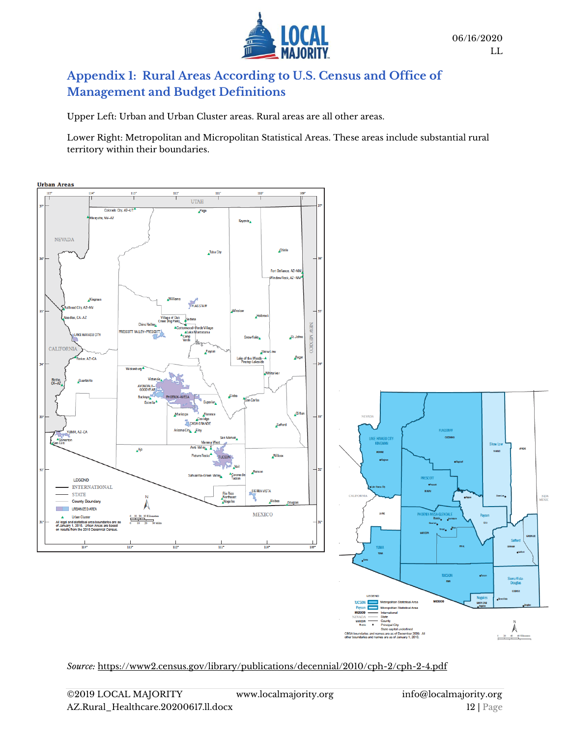

#### **Appendix 1: Rural Areas According to U.S. Census and Office of Management and Budget Definitions**

Upper Left: Urban and Urban Cluster areas. Rural areas are all other areas.

Lower Right: Metropolitan and Micropolitan Statistical Areas. These areas include substantial rural territory within their boundaries.



*Source:* https://www2.census.gov/library/publications/decennial/2010/cph-2/cph-2-4.pdf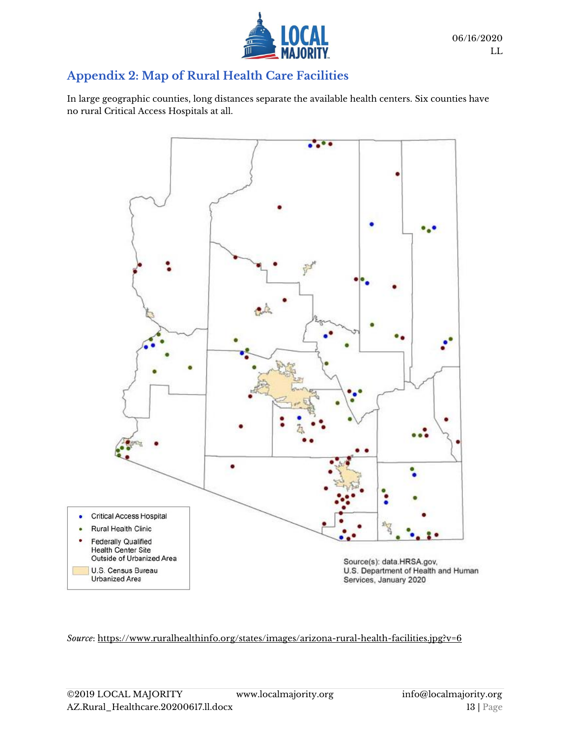

#### **Appendix 2: Map of Rural Health Care Facilities**

In large geographic counties, long distances separate the available health centers. Six counties have no rural Critical Access Hospitals at all.



*Source*:<https://www.ruralhealthinfo.org/states/images/arizona-rural-health-facilities.jpg?v=6>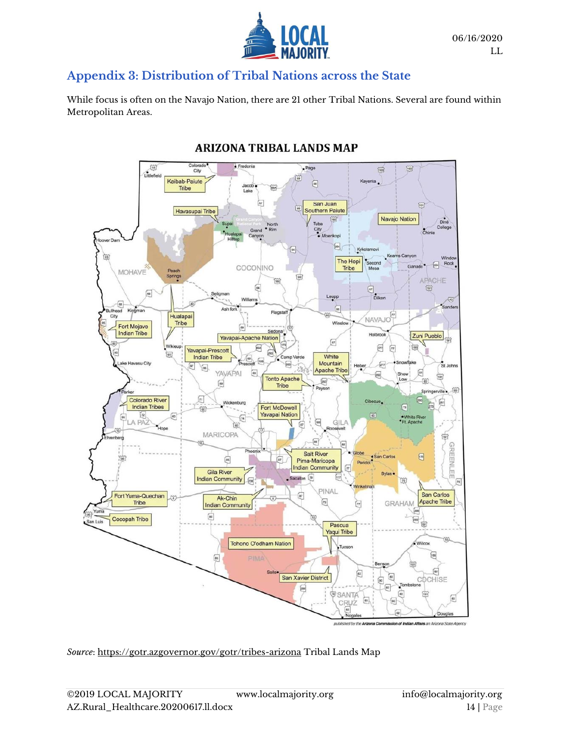

#### **Appendix 3: Distribution of Tribal Nations across the State**

While focus is often on the Navajo Nation, there are 21 other Tribal Nations. Several are found within Metropolitan Areas.



#### **ARIZONA TRIBAL LANDS MAP**

*Source*:<https://gotr.azgovernor.gov/gotr/tribes-arizona> Tribal Lands Map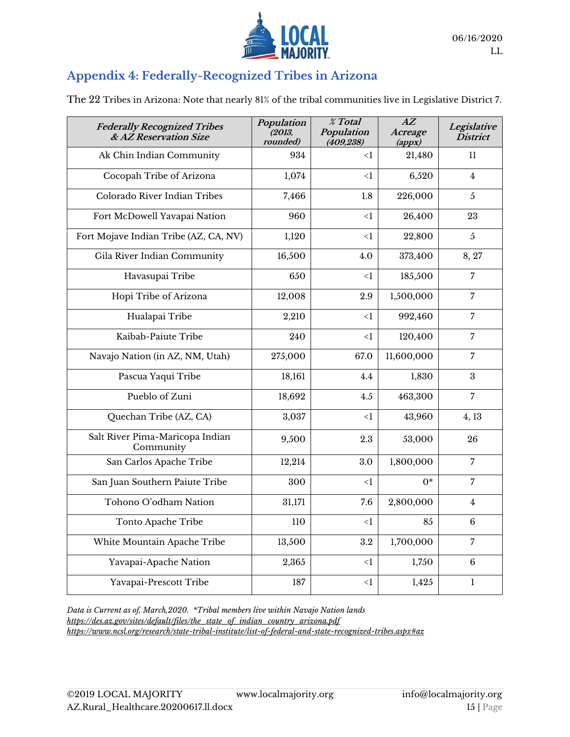

## **Appendix 4: Federally-Recognized Tribes in Arizona**

The 22 Tribes in Arizona: Note that nearly 81% of the tribal communities live in Legislative District 7.

| <b>Federally Recognized Tribes</b><br>& AZ Reservation Size | Population<br>(2013,<br>rounded) | % Total<br>Population<br>(409, 238) | $\overline{AZ}$<br>Acreage<br>$\left($ <i>appx</i> $\right)$ | Legislative<br><b>District</b> |
|-------------------------------------------------------------|----------------------------------|-------------------------------------|--------------------------------------------------------------|--------------------------------|
| Ak Chin Indian Community                                    | 934                              | $\leq$ 1                            | 21,480                                                       | 11                             |
| Cocopah Tribe of Arizona                                    | 1,074                            | $\leq$ 1                            | 6,520                                                        | 4                              |
| Colorado River Indian Tribes                                | 7,466                            | 1.8                                 | 226,000                                                      | 5                              |
| Fort McDowell Yavapai Nation                                | 960                              | $<$ 1                               | 26,400                                                       | 23                             |
| Fort Mojave Indian Tribe (AZ, CA, NV)                       | 1,120                            | $\leq$ 1                            | 22,800                                                       | $\overline{5}$                 |
| Gila River Indian Community                                 | 16,500                           | 4.0                                 | 373,400                                                      | 8, 27                          |
| Havasupai Tribe                                             | 650                              | $<$ 1                               | 185,500                                                      | $\overline{7}$                 |
| Hopi Tribe of Arizona                                       | 12,008                           | 2.9                                 | 1,500,000                                                    | $\overline{7}$                 |
| Hualapai Tribe                                              | 2,210                            | $\leq$ 1                            | 992,460                                                      | 7                              |
| Kaibab-Paiute Tribe                                         | 240                              | $\leq$ $\mathbf{1}$                 | 120,400                                                      | 7                              |
| Navajo Nation (in AZ, NM, Utah)                             | 275,000                          | 67.0                                | 11,600,000                                                   | 7                              |
| Pascua Yaqui Tribe                                          | 18,161                           | 4.4                                 | 1,830                                                        | 3                              |
| Pueblo of Zuni                                              | 18,692                           | 4.5                                 | 463,300                                                      | $\overline{7}$                 |
| Quechan Tribe (AZ, CA)                                      | 3,037                            | $\leq$ 1                            | 43,960                                                       | 4, 13                          |
| Salt River Pima-Maricopa Indian<br>Community                | 9,500                            | 2.3                                 | 53,000                                                       | 26                             |
| San Carlos Apache Tribe                                     | 12,214                           | 3.0                                 | 1,800,000                                                    | $\overline{7}$                 |
| San Juan Southern Paiute Tribe                              | 300                              | $<$ 1                               | $^*$                                                         | $\overline{7}$                 |
| Tohono O'odham Nation                                       | 31,171                           | 7.6                                 | 2,800,000                                                    | $\overline{4}$                 |
| Tonto Apache Tribe                                          | 110                              | $\leq$ 1                            | 85                                                           | 6                              |
| White Mountain Apache Tribe                                 | 13,500                           | $3.2\,$                             | 1,700,000                                                    | 7                              |
| Yavapai-Apache Nation                                       | 2,365                            | $\leq$ 1                            | 1,750                                                        | 6                              |
| Yavapai-Prescott Tribe                                      | 187                              | $<$ 1                               | 1,425                                                        | $\mathbf{1}$                   |

*Data is Current as of, March,2020. \*Tribal members live within Navajo Nation lands https://des.az.gov/sites/default/files/the\_state\_of\_indian\_country\_arizona.pdf <https://www.ncsl.org/research/state-tribal-institute/list-of-federal-and-state-recognized-tribes.aspx#az>*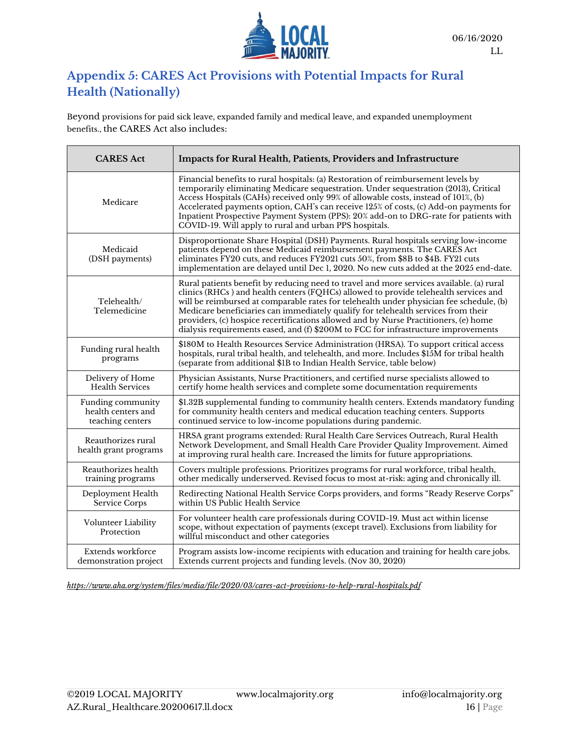

## **Appendix 5: CARES Act Provisions with Potential Impacts for Rural Health (Nationally)**

Beyond provisions for paid sick leave, expanded family and medical leave, and expanded unemployment benefits., the CARES Act also includes:

| <b>CARES</b> Act                                            | Impacts for Rural Health, Patients, Providers and Infrastructure                                                                                                                                                                                                                                                                                                                                                                                                                                                                               |
|-------------------------------------------------------------|------------------------------------------------------------------------------------------------------------------------------------------------------------------------------------------------------------------------------------------------------------------------------------------------------------------------------------------------------------------------------------------------------------------------------------------------------------------------------------------------------------------------------------------------|
| Medicare                                                    | Financial benefits to rural hospitals: (a) Restoration of reimbursement levels by<br>temporarily eliminating Medicare sequestration. Under sequestration (2013), Critical<br>Access Hospitals (CAHs) received only 99% of allowable costs, instead of 101%, (b)<br>Accelerated payments option, CAH's can receive 125% of costs, (c) Add-on payments for<br>Inpatient Prospective Payment System (PPS): 20% add-on to DRG-rate for patients with<br>COVID-19. Will apply to rural and urban PPS hospitals.                                     |
| Medicaid<br>(DSH payments)                                  | Disproportionate Share Hospital (DSH) Payments. Rural hospitals serving low-income<br>patients depend on these Medicaid reimbursement payments. The CARES Act<br>eliminates FY20 cuts, and reduces FY2021 cuts 50%, from \$8B to \$4B. FY21 cuts<br>implementation are delayed until Dec 1, 2020. No new cuts added at the 2025 end-date.                                                                                                                                                                                                      |
| Telehealth/<br>Telemedicine                                 | Rural patients benefit by reducing need to travel and more services available. (a) rural<br>clinics (RHCs) and health centers (FQHCs) allowed to provide telehealth services and<br>will be reimbursed at comparable rates for telehealth under physician fee schedule, (b)<br>Medicare beneficiaries can immediately qualify for telehealth services from their<br>providers, (c) hospice recertifications allowed and by Nurse Practitioners, (e) home<br>dialysis requirements eased, and (f) \$200M to FCC for infrastructure improvements |
| Funding rural health<br>programs                            | \$180M to Health Resources Service Administration (HRSA). To support critical access<br>hospitals, rural tribal health, and telehealth, and more. Includes \$15M for tribal health<br>(separate from additional \$1B to Indian Health Service, table below)                                                                                                                                                                                                                                                                                    |
| Delivery of Home<br><b>Health Services</b>                  | Physician Assistants, Nurse Practitioners, and certified nurse specialists allowed to<br>certify home health services and complete some documentation requirements                                                                                                                                                                                                                                                                                                                                                                             |
| Funding community<br>health centers and<br>teaching centers | \$1.32B supplemental funding to community health centers. Extends mandatory funding<br>for community health centers and medical education teaching centers. Supports<br>continued service to low-income populations during pandemic.                                                                                                                                                                                                                                                                                                           |
| Reauthorizes rural<br>health grant programs                 | HRSA grant programs extended: Rural Health Care Services Outreach, Rural Health<br>Network Development, and Small Health Care Provider Quality Improvement. Aimed<br>at improving rural health care. Increased the limits for future appropriations.                                                                                                                                                                                                                                                                                           |
| Reauthorizes health<br>training programs                    | Covers multiple professions. Prioritizes programs for rural workforce, tribal health,<br>other medically underserved. Revised focus to most at-risk: aging and chronically ill.                                                                                                                                                                                                                                                                                                                                                                |
| Deployment Health<br>Service Corps                          | Redirecting National Health Service Corps providers, and forms "Ready Reserve Corps"<br>within US Public Health Service                                                                                                                                                                                                                                                                                                                                                                                                                        |
| Volunteer Liability<br>Protection                           | For volunteer health care professionals during COVID-19. Must act within license<br>scope, without expectation of payments (except travel). Exclusions from liability for<br>willful misconduct and other categories                                                                                                                                                                                                                                                                                                                           |
| Extends workforce<br>demonstration project                  | Program assists low-income recipients with education and training for health care jobs.<br>Extends current projects and funding levels. (Nov 30, 2020)                                                                                                                                                                                                                                                                                                                                                                                         |

*<https://www.aha.org/system/files/media/file/2020/03/cares-act-provisions-to-help-rural-hospitals.pdf>*